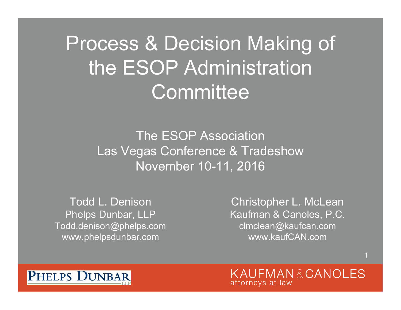Process & Decision Making of the ESOP Administration **Committee** 

> The ESOP AssociationLas Vegas Conference & Tradeshow November 10-11, 2016

Todd L. DenisonPhelps Dunbar, LLP Todd.denison@phelps.com www.phelpsdunbar.com

Christopher L. McLean Kaufman & Canoles, P.C. clmclean@kaufcan.com www.kaufCAN.com

KAUFMAN&CANOLES attorneys at law

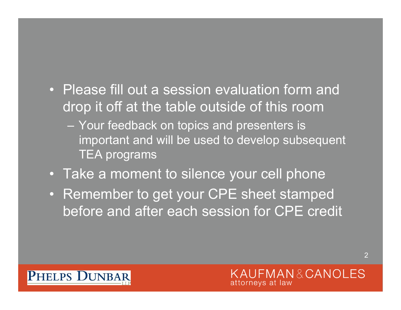- Please fill out a session evaluation form and drop it off at the table outside of this room
	- Your feedback on topics and presenters is important and will be used to develop subsequent TEA programs
- Take a moment to silence your cell phone
- Remember to get your CPE sheet stamped before and after each session for CPE credit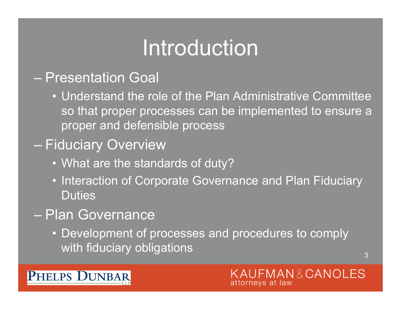### Introduction

#### – Presentation Goal

• Understand the role of the Plan Administrative Committee so that proper processes can be implemented to ensure a proper and defensible process

### Fiduciary Overview

- What are the standards of duty?
- Interaction of Corporate Governance and Plan Fiduciary **Duties**

### – Plan Governance

• Development of processes and procedures to comply with fiduciary obligations

3

**FMAN&CANOLES** 

attorneys at law

#### **PHELPS DUNBAR**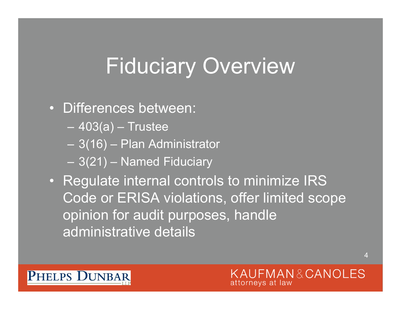### Fiduciary Overview

### • Differences between:

- 403(a) Trustee
- 3(16) Plan Administrator
- 3(21) Named Fiduciary
- Regulate internal controls to minimize IRS Code or ERISA violations, offer limited scope opinion for audit purposes, handle administrative details

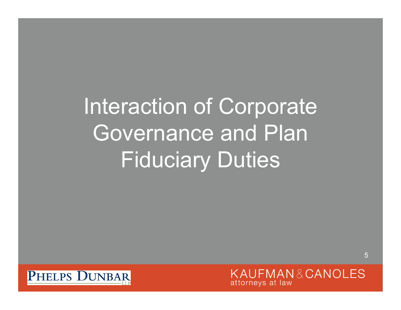# Interaction of Corporate Governance and Plan **Fiduciary Duties**



KAUFMAN&CANOLES attorneys at law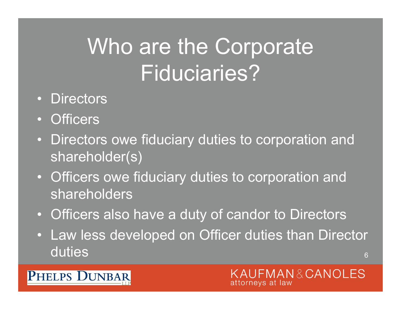### Who are the Corporate Fiduciaries?

- Directors
- Officers

**PHELPS DUNBAR** 

- Directors owe fiduciary duties to corporation and shareholder(s)
- Officers owe fiduciary duties to corporation and shareholders
- Officers also have a duty of candor to Directors
- 6• Law less developed on Officer duties than Director duties

#### MAN&CANOLES attornevs at law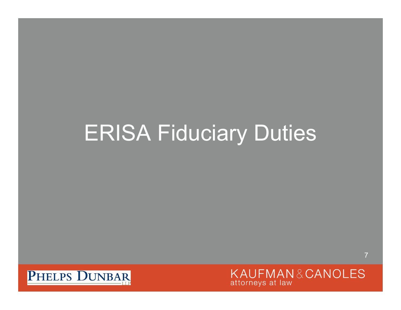### ERISA Fiduciary Duties



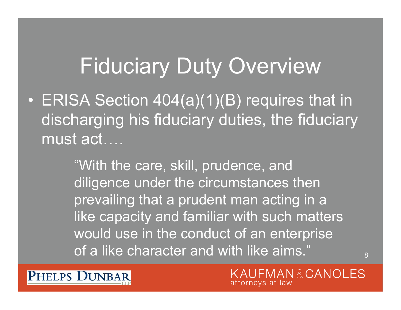### Fiduciary Duty Overview

 $\bigcirc$  ERISA Section 404(a)(1)(B) requires that in discharging his fiduciary duties, the fiduciary must act….

> "With the care, skill, prudence, and diligence under the circumstances then prevailing that a prudent man acting in a like capacity and familiar with such matters would use in the conduct of an enterprise of a like character and with like aims."

PHELPS DUNBAR

MAN&CANOLES attorneys at law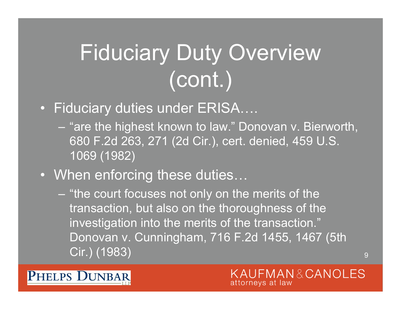# Fiduciary Duty Overview (cont.)

#### • Fiduciary duties under ERISA….

- "are the highest known to law." Donovan v. Bierworth, 680 F.2d 263, 271 (2d Cir.), cert. denied, 459 U.S. 1069 (1982)
- When enforcing these duties…

**PHELPS DUNBAR** 

 "the court focuses not only on the merits of the transaction, but also on the thoroughness of the investigation into the merits of the transaction." Donovan v. Cunningham, 716 F.2d 1455, 1467 (5th Cir.) (1983)

> MAN&CANOLES attorneys at law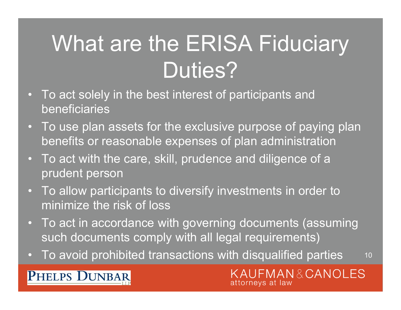# What are the ERISA Fiduciary Duties?

- • To act solely in the best interest of participants and beneficiaries
- To use plan assets for the exclusive purpose of paying plan benefits or reasonable expenses of plan administration
- To act with the care, skill, prudence and diligence of a prudent person
- • To allow participants to diversify investments in order to minimize the risk of loss
- To act in accordance with governing documents (assuming such documents comply with all legal requirements)
- 10•To avoid prohibited transactions with disqualified parties

#### **PHELPS DUNBAR**

KAUFMAN&CANOLES attorneys at law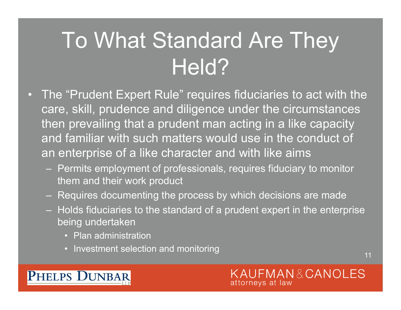### To What Standard Are They Held?

- • The "Prudent Expert Rule" requires fiduciaries to act with the care, skill, prudence and diligence under the circumstances then prevailing that a prudent man acting in a like capacity and familiar with such matters would use in the conduct of an enterprise of a like character and with like aims
	- Permits employment of professionals, requires fiduciary to monitor them and their work product
	- Requires documenting the process by which decisions are made
	- Holds fiduciaries to the standard of a prudent expert in the enterprise being undertaken
		- Plan administration

PHELPS DUNBAR

• Investment selection and monitoring

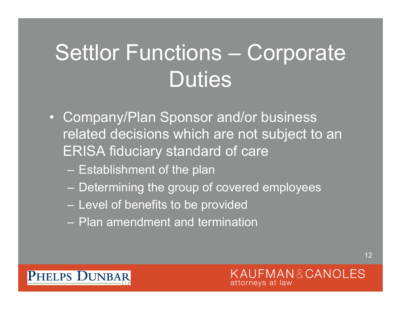# Settlor Functions – Corporate **Duties**

- Company/Plan Sponsor and/or business related decisions which are not subject to an ERISA fiduciary standard of care
	- Establishment of the plan
	- Determining the group of covered employees
	- Level of benefits to be provided
	- Plan amendment and termination

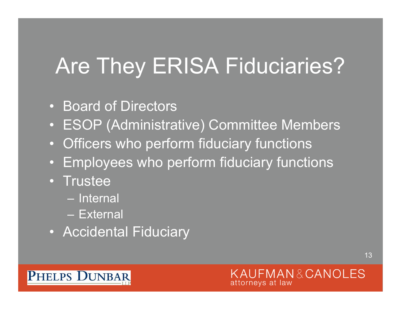### Are They ERISA Fiduciaries?

- Board of Directors
- ESOP (Administrative) Committee Members
- Officers who perform fiduciary functions
- Employees who perform fiduciary functions
- Trustee
	- Internal
	- External
- Accidental Fiduciary

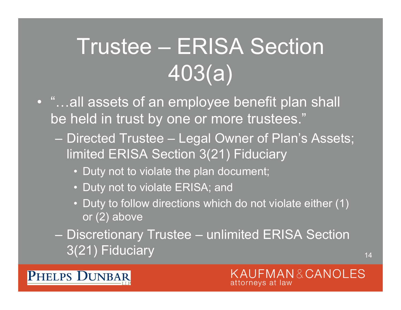# Trustee – ERISA Section 403(a)

- "…all assets of an employee benefit plan shall be held in trust by one or more trustees."
	- $\mathcal{L}_{\mathcal{A}}$  Directed Trustee – Legal Owner of Plan's Assets; limited ERISA Section 3(21) Fiduciary
		- Duty not to violate the plan document;
		- Duty not to violate ERISA; and

PHELPS DUNBAR

- Duty to follow directions which do not violate either (1) or (2) above
- Discretionary Trustee unlimited ERISA Section 3(21) Fiduciary

#### KAUFMAN&CANOLES attorneys at law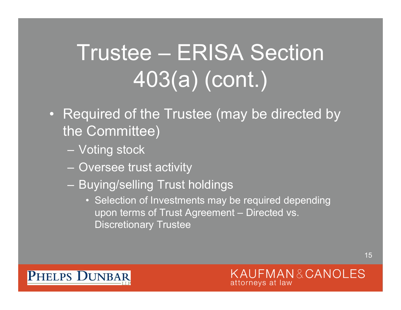# Trustee – ERISA Section 403(a) (cont.)

- Required of the Trustee (may be directed by the Committee)
	- Voting stock
	- Oversee trust activity
	- Buying/selling Trust holdings
		- Selection of Investments may be required depending upon terms of Trust Agreement – Directed vs. Discretionary Trustee

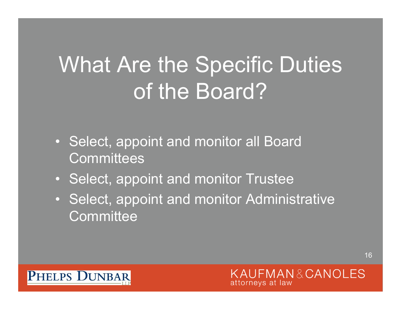# What Are the Specific Duties of the Board?

- Select, appoint and monitor all Board **Committees**
- Select, appoint and monitor Trustee
- Select, appoint and monitor Administrative **Committee**

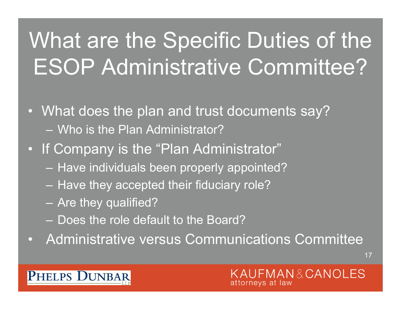# What are the Specific Duties of the ESOP Administrative Committee?

- What does the plan and trust documents say? – Who is the Plan Administrator?
- If Company is the "Plan Administrator"
	- Have individuals been properly appointed?
	- Have they accepted their fiduciary role?
	- Are they qualified?
	- Does the role default to the Board?
- $\bullet$ Administrative versus Communications Committee

**PHELPS DUNBAR**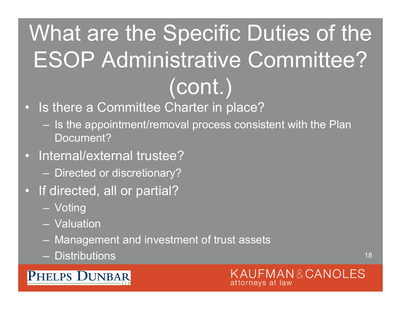# What are the Specific Duties of the ESOP Administrative Committee? (cont.)

- Is there a Committee Charter in place?
	- Is the appointment/removal process consistent with the Plan Document?
- Internal/external trustee?
	- Directed or discretionary?
- If directed, all or partial?
	- Voting
	- Valuation
	- Management and investment of trust assets
	- Distributions

#### **PHELPS DUNBAR**

MAN&CANOLES attorneys at law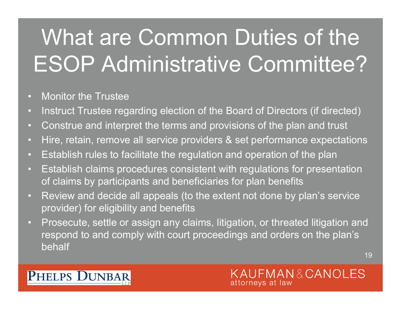# What are Common Duties of the ESOP Administrative Committee?

- Monitor the Trustee
- Instruct Trustee regarding election of the Board of Directors (if directed)
- Construe and interpret the terms and provisions of the plan and trust
- Hire, retain, remove all service providers & set performance expectations
- Establish rules to facilitate the regulation and operation of the plan
- Establish claims procedures consistent with regulations for presentation of claims by participants and beneficiaries for plan benefits
- Review and decide all appeals (to the extent not done by plan's service provider) for eligibility and benefits
- Prosecute, settle or assign any claims, litigation, or threated litigation and respond to and comply with court proceedings and orders on the plan's behalf

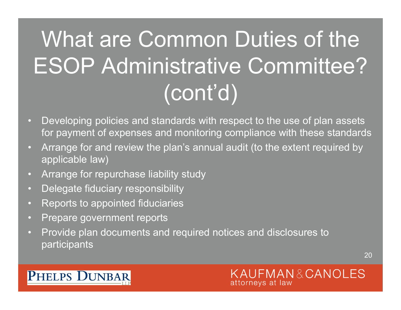# What are Common Duties of the ESOP Administrative Committee? (cont'd)

- Developing policies and standards with respect to the use of plan assets for payment of expenses and monitoring compliance with these standards
- Arrange for and review the plan's annual audit (to the extent required by applicable law)
- Arrange for repurchase liability study
- Delegate fiduciary responsibility
- Reports to appointed fiduciaries
- Prepare government reports
- Provide plan documents and required notices and disclosures to participants

20

#### **PHELPS DUNBAR**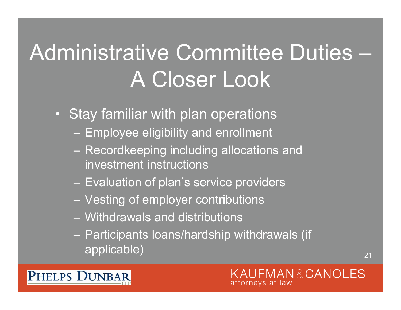### Administrative Committee Duties –A Closer Look

- Stay familiar with plan operations
	- Employee eligibility and enrollment
	- Recordkeeping including allocations and investment instructions
	- Evaluation of plan's service providers
	- Vesting of employer contributions
	- Withdrawals and distributions

**PHELPS DUNBAR** 

 Participants loans/hardship withdrawals (if applicable)

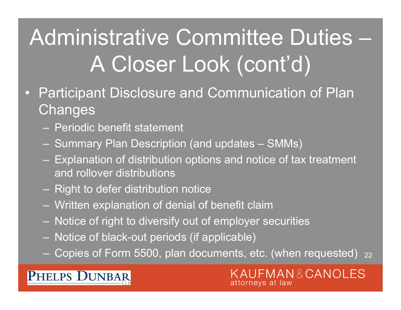# Administrative Committee Duties – A Closer Look (cont'd)

- • Participant Disclosure and Communication of Plan **Changes** 
	- Periodic benefit statement
	- Summary Plan Description (and updates SMMs)
	- Explanation of distribution options and notice of tax treatment and rollover distributions
	- Right to defer distribution notice
	- Written explanation of denial of benefit claim
	- Notice of right to diversify out of employer securities
	- Notice of black-out periods (if applicable)
	- 22 Copies of Form 5500, plan documents, etc. (when requested)

#### **PHELPS DUNBAR**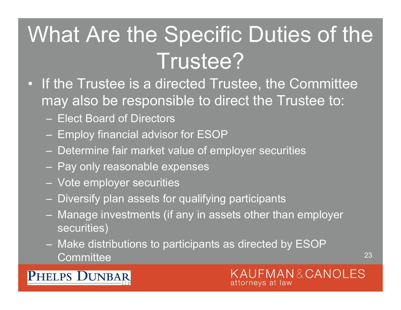### What Are the Specific Duties of the Trustee?

- If the Trustee is a directed Trustee, the Committee may also be responsible to direct the Trustee to:
	- Elect Board of Directors
	- Employ financial advisor for ESOP
	- Determine fair market value of employer securities
	- Pay only reasonable expenses
	- Vote employer securities
	- Diversify plan assets for qualifying participants
	- Manage investments (if any in assets other than employer securities)
	- Make distributions to participants as directed by ESOP **Committee**



#### **PHELPS DUNBAR**

MAN&CANOLES attorneys at law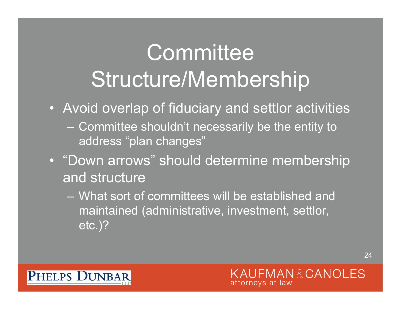### **Committee** Structure/Membership

- Avoid overlap of fiduciary and settlor activities
	- Committee shouldn't necessarily be the entity to address "plan changes"
- "Down arrows" should determine membership and structure
	- What sort of committees will be established and maintained (administrative, investment, settlor, etc.)?

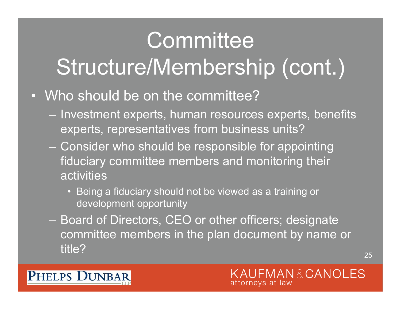### **Committee**

### Structure/Membership (cont.)

- Who should be on the committee?
	- Investment experts, human resources experts, benefits experts, representatives from business units?
	- Consider who should be responsible for appointing fiduciary committee members and monitoring their activities
		- Being a fiduciary should not be viewed as a training or development opportunity
	- Board of Directors, CEO or other officers; designate committee members in the plan document by name or title?

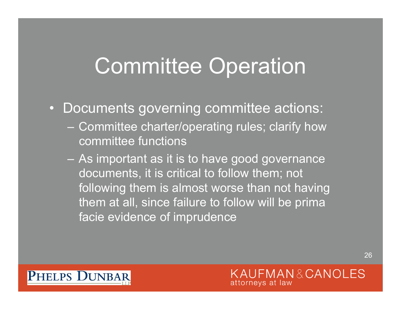### Committee Operation

- Documents governing committee actions:
	- Committee charter/operating rules; clarify how committee functions
	- As important as it is to have good governance documents, it is critical to follow them; not following them is almost worse than not having them at all, since failure to follow will be prima facie evidence of imprudence

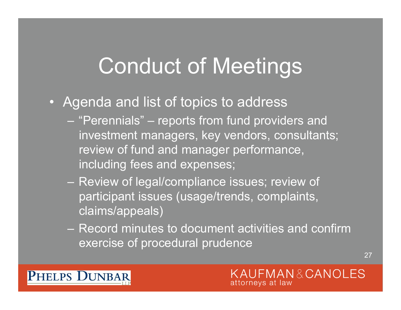### Conduct of Meetings

- Agenda and list of topics to address
	- "Perennials" reports from fund providers and investment managers, key vendors, consultants; review of fund and manager performance, including fees and expenses;
	- Review of legal/compliance issues; review of participant issues (usage/trends, complaints, claims/appeals)
	- Record minutes to document activities and confirm exercise of procedural prudence

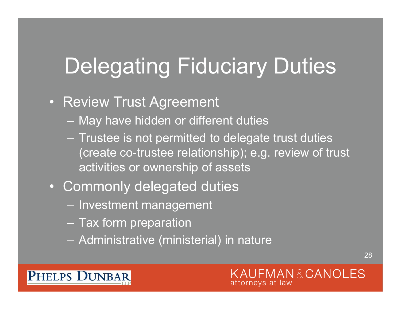### Delegating Fiduciary Duties

- Review Trust Agreement
	- May have hidden or different duties
	- Trustee is not permitted to delegate trust duties (create co-trustee relationship); e.g. review of trust activities or ownership of assets
- Commonly delegated duties
	- Investment management
	- Tax form preparation

PHELPS DUNBAR

Administrative (ministerial) in nature

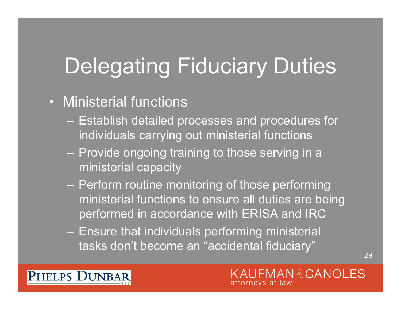# Delegating Fiduciary Duties

- Ministerial functions
	- Establish detailed processes and procedures for individuals carrying out ministerial functions
	- Provide ongoing training to those serving in a ministerial capacity
	- Perform routine monitoring of those performing ministerial functions to ensure all duties are being performed in accordance with ERISA and IRC
	- Ensure that individuals performing ministerial tasks don't become an "accidental fiduciary"

29

PHELPS DUNBAR

**FMAN&CANOLES** attorneys at law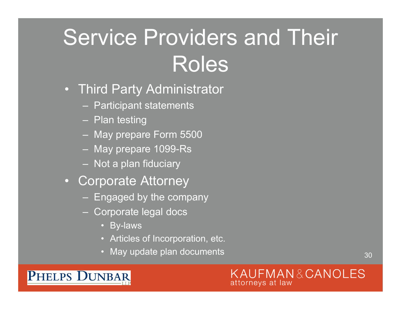# Service Providers and Their Roles

- Third Party Administrator
	- Participant statements
	- Plan testing
	- May prepare Form 5500
	- May prepare 1099-Rs
	- Not a plan fiduciary
- Corporate Attorney
	- Engaged by the company
	- Corporate legal docs
		- By-laws
		- Articles of Incorporation, etc.
		- May update plan documents

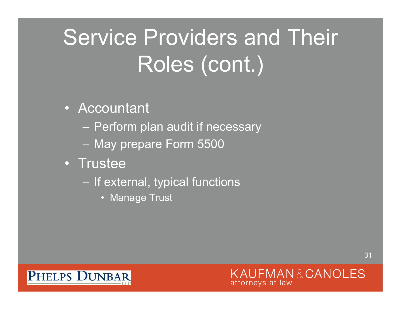# Service Providers and Their Roles (cont.)

- Accountant
	- Perform plan audit if necessary
	- May prepare Form 5500
- Trustee
	- If external, typical functions
		- Manage Trust

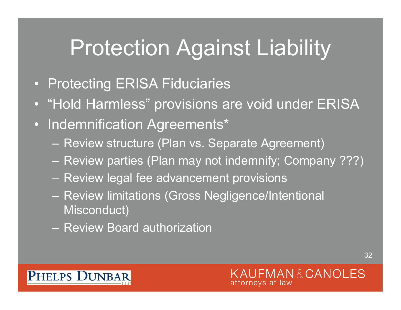### Protection Against Liability

- Protecting ERISA Fiduciaries
- "Hold Harmless" provisions are void under ERISA
- Indemnification Agreements\*
	- Review structure (Plan vs. Separate Agreement)
	- Review parties (Plan may not indemnify; Company ???)
	- Review legal fee advancement provisions
	- Review limitations (Gross Negligence/Intentional Misconduct)
	- Review Board authorization

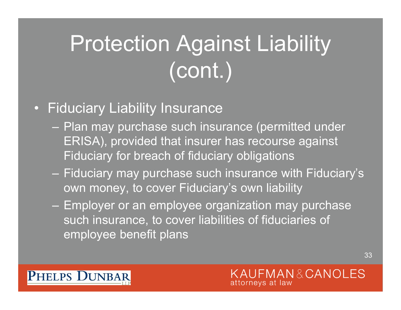# Protection Against Liability (cont.)

### • Fiduciary Liability Insurance

- Plan may purchase such insurance (permitted under ERISA), provided that insurer has recourse against Fiduciary for breach of fiduciary obligations
- Fiduciary may purchase such insurance with Fiduciary's own money, to cover Fiduciary's own liability
- Employer or an employee organization may purchase such insurance, to cover liabilities of fiduciaries of employee benefit plans

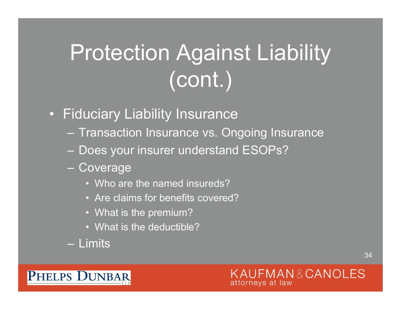# Protection Against Liability (cont.)

- Fiduciary Liability Insurance
	- Transaction Insurance vs. Ongoing Insurance
	- Does your insurer understand ESOPs?
	- Coverage
		- Who are the named insureds?
		- Are claims for benefits covered?
		- What is the premium?
		- What is the deductible?
	- Limits

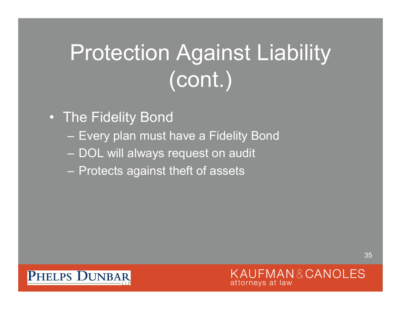# Protection Against Liability (cont.)

- The Fidelity Bond
	- Every plan must have a Fidelity Bond
	- DOL will always request on audit
	- Protects against theft of assets

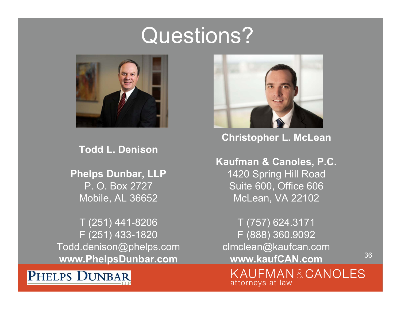### Questions?



**Todd L. Denison**

**Phelps Dunbar, LLP** P. O. Box 2727Mobile, AL 36652

T (251) 441-8206 F (251) 433-1820 Todd.denison@phelps.com **www.PhelpsDunbar.com** 





**Christopher L. McLean**

**Kaufman & Canoles, P.C.** 1420 Spring Hill Road Suite 600, Office 606 McLean, VA 22102

T (757) 624.3171 F (888) 360.9092 clmclean@kaufcan.com **www.kaufCAN.com**

36

KAUFMAN&CANOLES attorneys at law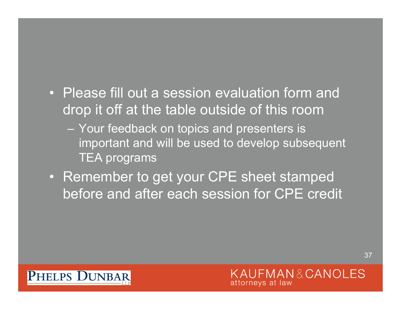- Please fill out a session evaluation form and drop it off at the table outside of this room
	- Your feedback on topics and presenters is important and will be used to develop subsequent TEA programs
- Remember to get your CPE sheet stamped before and after each session for CPE credit

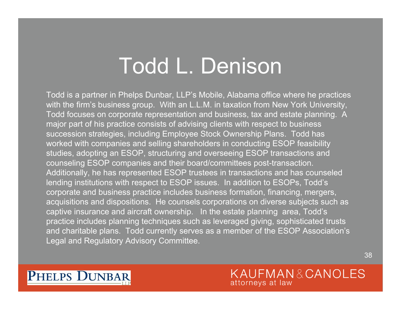### Todd L. Denison

Todd is a partner in Phelps Dunbar, LLP's Mobile, Alabama office where he practices with the firm's business group. With an L.L.M. in taxation from New York University, Todd focuses on corporate representation and business, tax and estate planning. A major part of his practice consists of advising clients with respect to business succession strategies, including Employee Stock Ownership Plans. Todd has worked with companies and selling shareholders in conducting ESOP feasibility studies, adopting an ESOP, structuring and overseeing ESOP transactions and counseling ESOP companies and their board/committees post-transaction. Additionally, he has represented ESOP trustees in transactions and has counseled lending institutions with respect to ESOP issues. In addition to ESOPs, Todd's corporate and business practice includes business formation, financing, mergers, acquisitions and dispositions. He counsels corporations on diverse subjects such as captive insurance and aircraft ownership. In the estate planning area, Todd's practice includes planning techniques such as leveraged giving, sophisticated trusts and charitable plans. Todd currently serves as a member of the ESOP Association's Legal and Regulatory Advisory Committee.